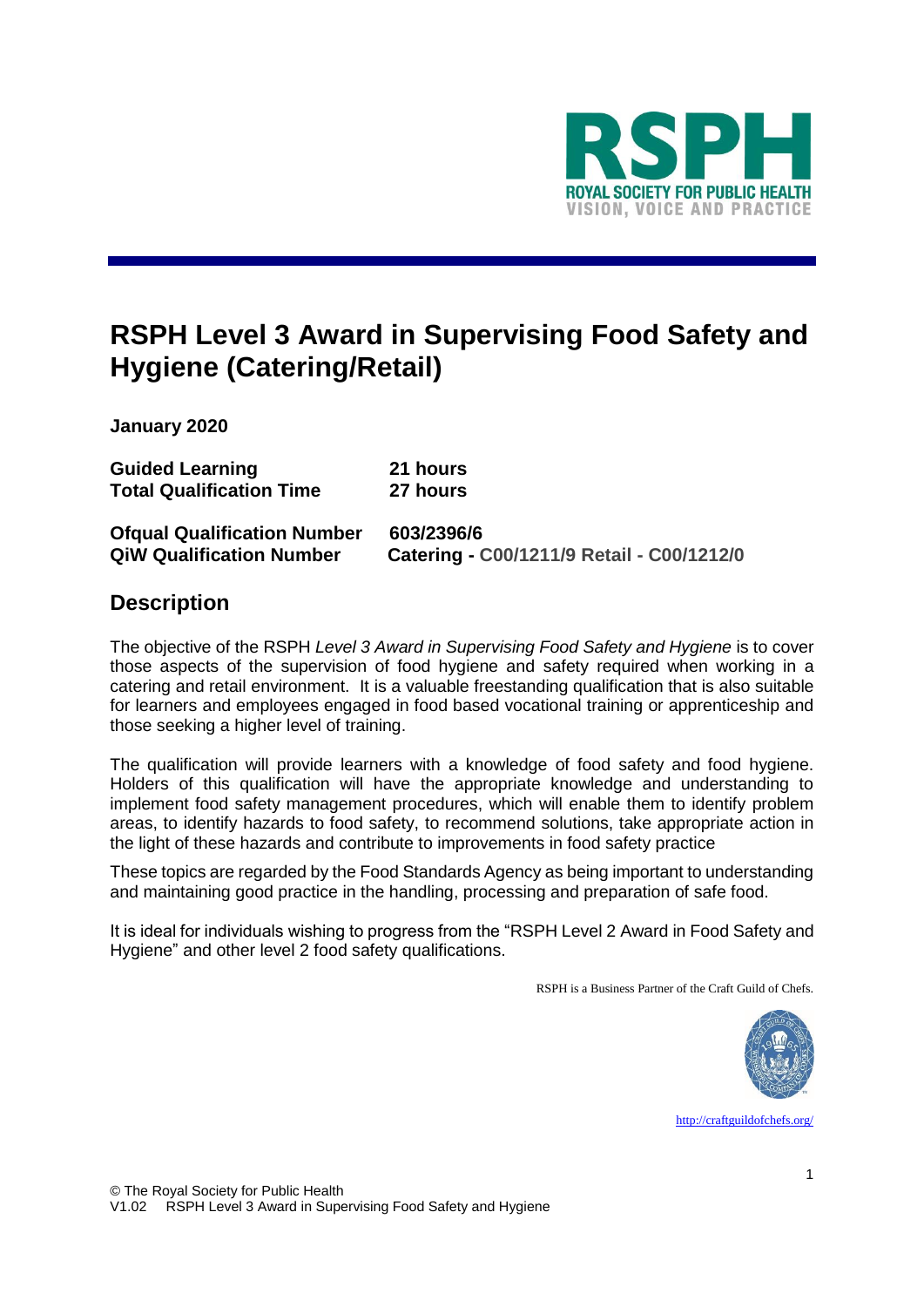

# **RSPH Level 3 Award in Supervising Food Safety and Hygiene (Catering/Retail)**

**January 2020**

| <b>Guided Learning</b>                                                | 21 hours                                                |
|-----------------------------------------------------------------------|---------------------------------------------------------|
| <b>Total Qualification Time</b>                                       | 27 hours                                                |
| <b>Ofqual Qualification Number</b><br><b>QiW Qualification Number</b> | 603/2396/6<br>Catering - C00/1211/9 Retail - C00/1212/0 |

### **Description**

The objective of the RSPH *Level 3 Award in Supervising Food Safety and Hygiene* is to cover those aspects of the supervision of food hygiene and safety required when working in a catering and retail environment. It is a valuable freestanding qualification that is also suitable for learners and employees engaged in food based vocational training or apprenticeship and those seeking a higher level of training.

The qualification will provide learners with a knowledge of food safety and food hygiene. Holders of this qualification will have the appropriate knowledge and understanding to implement food safety management procedures, which will enable them to identify problem areas, to identify hazards to food safety, to recommend solutions, take appropriate action in the light of these hazards and contribute to improvements in food safety practice

These topics are regarded by the Food Standards Agency as being important to understanding and maintaining good practice in the handling, processing and preparation of safe food.

It is ideal for individuals wishing to progress from the "RSPH Level 2 Award in Food Safety and Hygiene" and other level 2 food safety qualifications.

RSPH is a Business Partner of the Craft Guild of Chefs.



<http://craftguildofchefs.org/>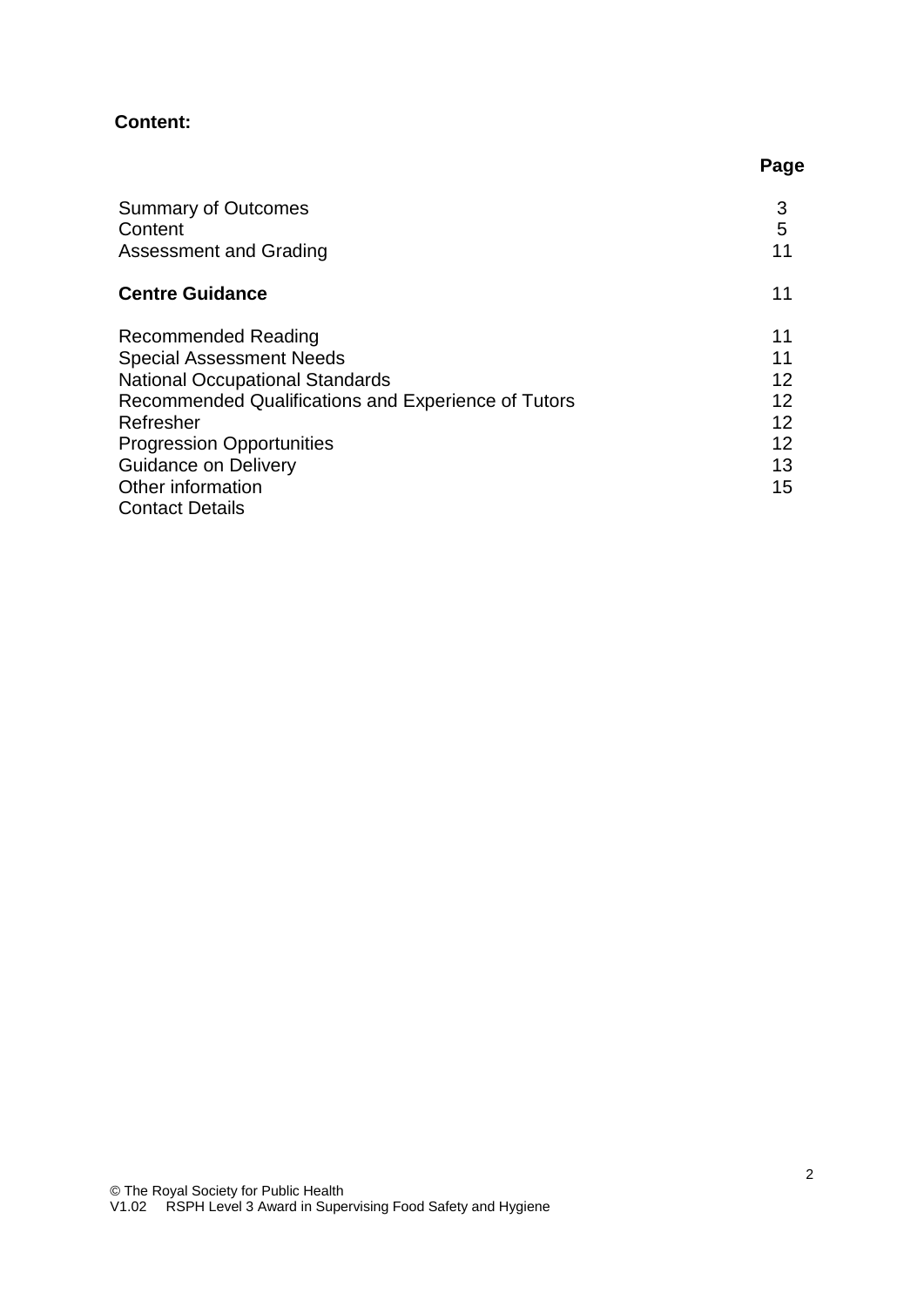### **Content:**

|                                                     | Page |
|-----------------------------------------------------|------|
| <b>Summary of Outcomes</b>                          | 3    |
| Content                                             | 5    |
| <b>Assessment and Grading</b>                       | 11   |
| <b>Centre Guidance</b>                              | 11   |
| <b>Recommended Reading</b>                          | 11   |
| <b>Special Assessment Needs</b>                     | 11   |
| <b>National Occupational Standards</b>              | 12   |
| Recommended Qualifications and Experience of Tutors | 12   |
| Refresher                                           | 12   |
| <b>Progression Opportunities</b>                    | 12   |
| <b>Guidance on Delivery</b>                         | 13   |
| Other information                                   | 15   |
| <b>Contact Details</b>                              |      |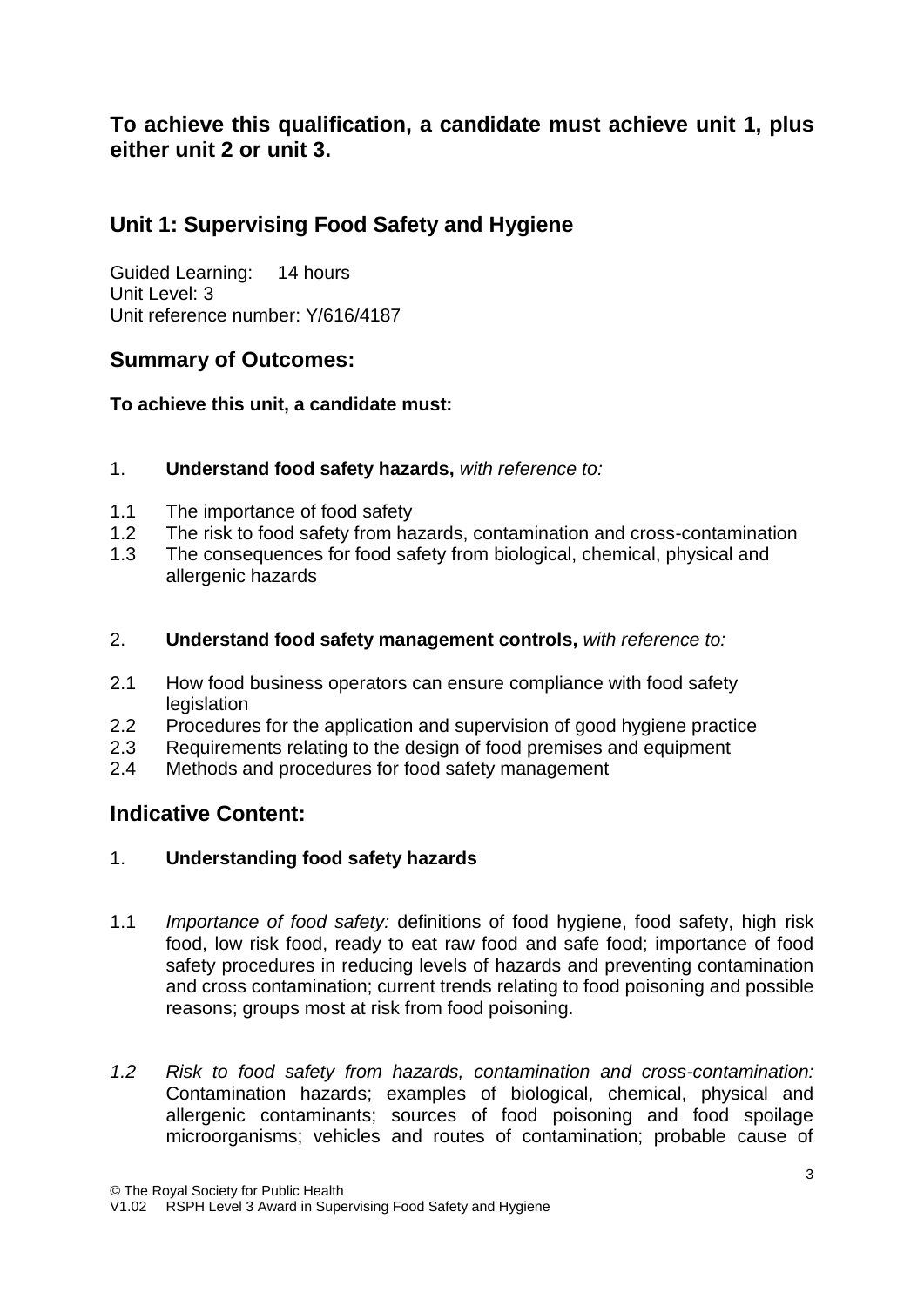# **To achieve this qualification, a candidate must achieve unit 1, plus either unit 2 or unit 3.**

# **Unit 1: Supervising Food Safety and Hygiene**

Guided Learning: 14 hours Unit Level: 3 Unit reference number: Y/616/4187

# **Summary of Outcomes:**

**To achieve this unit, a candidate must:**

- 1. **Understand food safety hazards,** *with reference to:*
- 1.1 The importance of food safety
- 1.2 The risk to food safety from hazards, contamination and cross-contamination
- 1.3 The consequences for food safety from biological, chemical, physical and allergenic hazards
- 2. **Understand food safety management controls,** *with reference to:*
- 2.1 How food business operators can ensure compliance with food safety legislation
- 2.2 Procedures for the application and supervision of good hygiene practice
- 2.3 Requirements relating to the design of food premises and equipment
- 2.4 Methods and procedures for food safety management

### **Indicative Content:**

#### 1. **Understanding food safety hazards**

- 1.1 *Importance of food safety:* definitions of food hygiene, food safety, high risk food, low risk food, ready to eat raw food and safe food; importance of food safety procedures in reducing levels of hazards and preventing contamination and cross contamination; current trends relating to food poisoning and possible reasons; groups most at risk from food poisoning.
- *1.2 Risk to food safety from hazards, contamination and cross-contamination:* Contamination hazards; examples of biological, chemical, physical and allergenic contaminants; sources of food poisoning and food spoilage microorganisms; vehicles and routes of contamination; probable cause of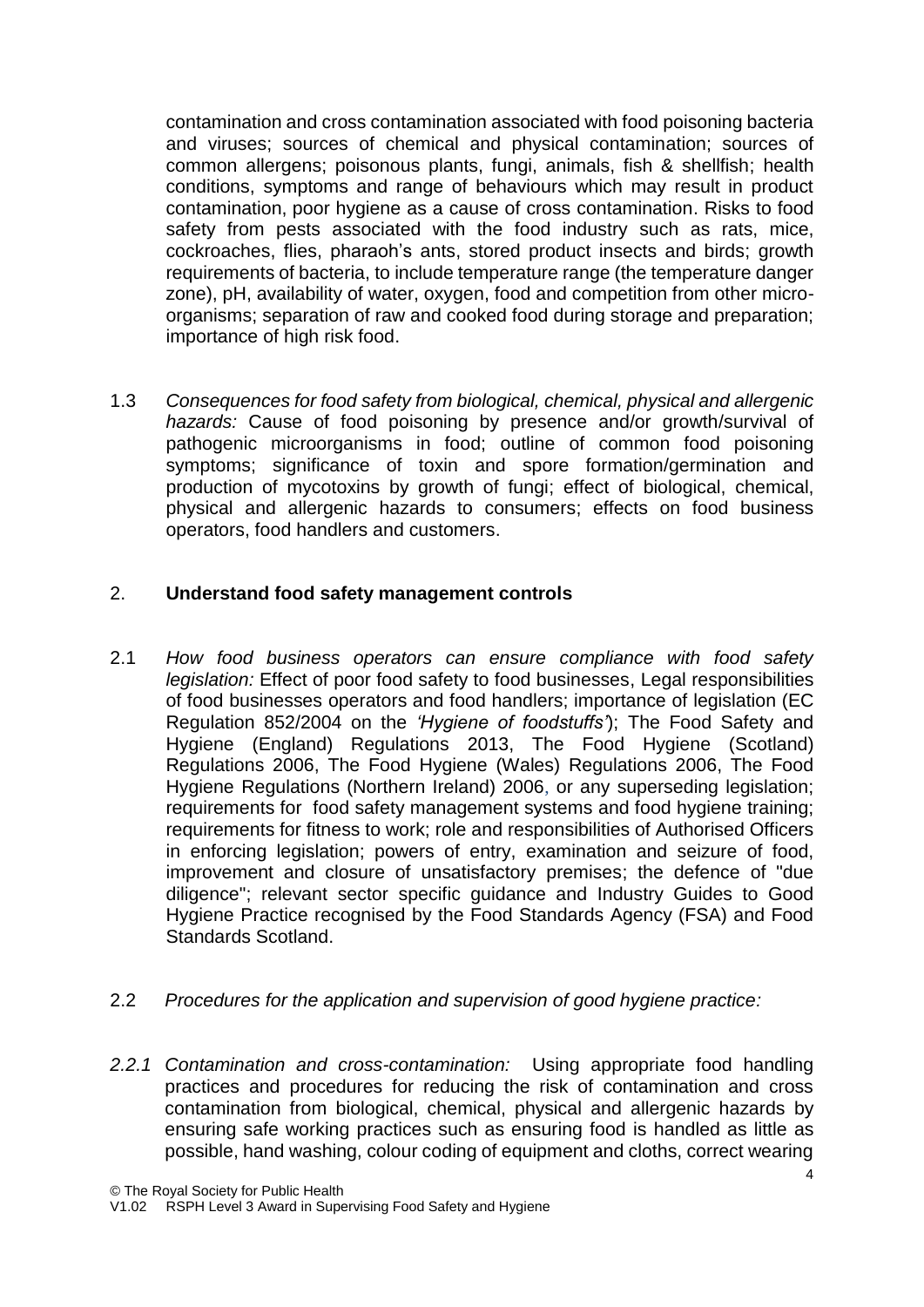contamination and cross contamination associated with food poisoning bacteria and viruses; sources of chemical and physical contamination; sources of common allergens; poisonous plants, fungi, animals, fish & shellfish; health conditions, symptoms and range of behaviours which may result in product contamination, poor hygiene as a cause of cross contamination. Risks to food safety from pests associated with the food industry such as rats, mice, cockroaches, flies, pharaoh's ants, stored product insects and birds; growth requirements of bacteria, to include temperature range (the temperature danger zone), pH, availability of water, oxygen, food and competition from other microorganisms; separation of raw and cooked food during storage and preparation; importance of high risk food.

1.3 *Consequences for food safety from biological, chemical, physical and allergenic hazards:* Cause of food poisoning by presence and/or growth/survival of pathogenic microorganisms in food; outline of common food poisoning symptoms; significance of toxin and spore formation/germination and production of mycotoxins by growth of fungi; effect of biological, chemical, physical and allergenic hazards to consumers; effects on food business operators, food handlers and customers.

### 2. **Understand food safety management controls**

- 2.1 *How food business operators can ensure compliance with food safety legislation:* Effect of poor food safety to food businesses, Legal responsibilities of food businesses operators and food handlers; importance of legislation (EC Regulation 852/2004 on the *'Hygiene of foodstuffs'*); The Food Safety and Hygiene (England) Regulations 2013, The Food Hygiene (Scotland) Regulations 2006, The Food Hygiene (Wales) Regulations 2006, The Food Hygiene Regulations (Northern Ireland) 2006, or any superseding legislation; requirements for food safety management systems and food hygiene training; requirements for fitness to work; role and responsibilities of Authorised Officers in enforcing legislation; powers of entry, examination and seizure of food, improvement and closure of unsatisfactory premises; the defence of "due diligence"; relevant sector specific guidance and Industry Guides to Good Hygiene Practice recognised by the Food Standards Agency (FSA) and Food Standards Scotland.
- 2.2 *Procedures for the application and supervision of good hygiene practice:*
- *2.2.1 Contamination and cross-contamination:* Using appropriate food handling practices and procedures for reducing the risk of contamination and cross contamination from biological, chemical, physical and allergenic hazards by ensuring safe working practices such as ensuring food is handled as little as possible, hand washing, colour coding of equipment and cloths, correct wearing

<sup>©</sup> The Royal Society for Public Health

V1.02 RSPH Level 3 Award in Supervising Food Safety and Hygiene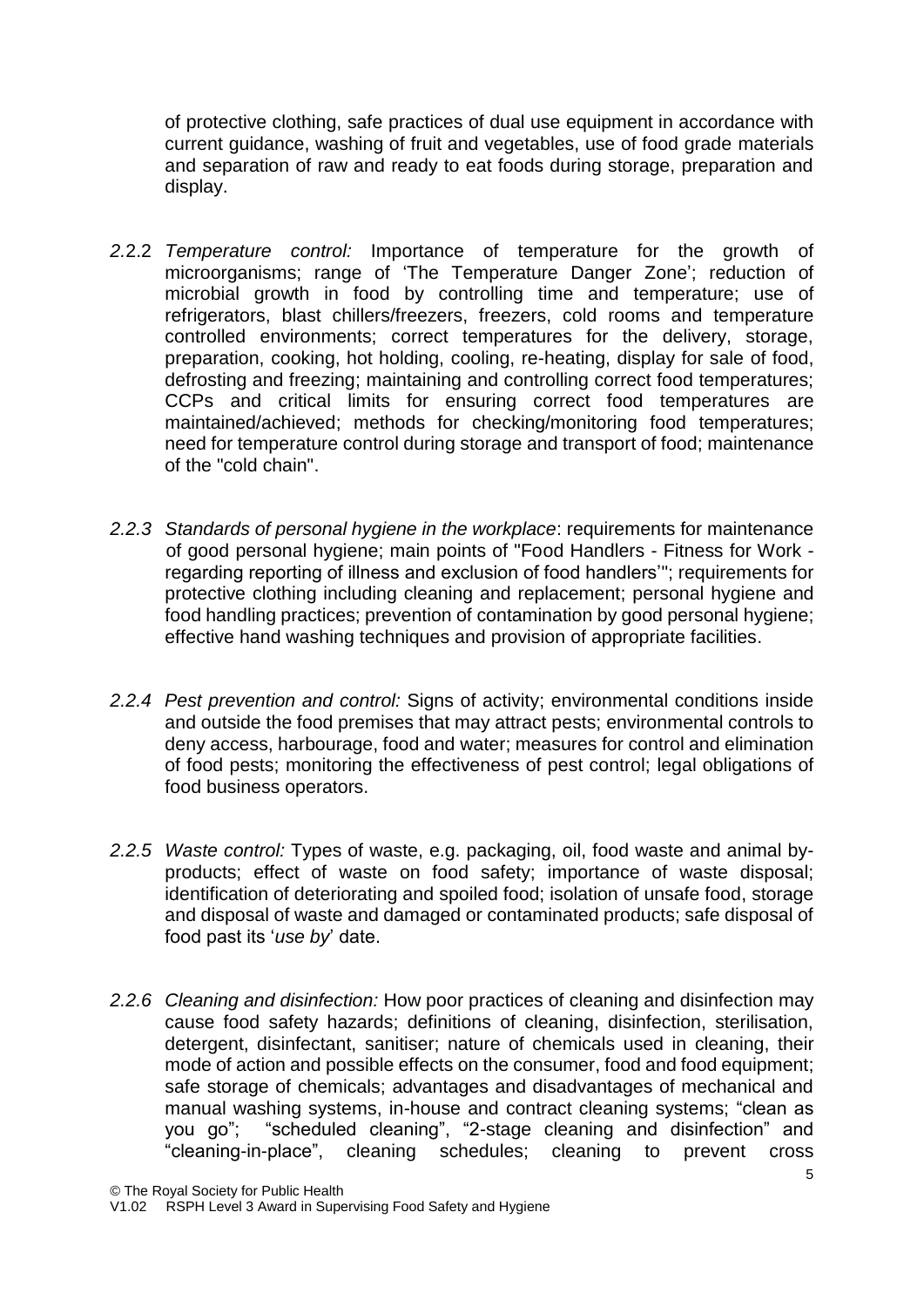of protective clothing, safe practices of dual use equipment in accordance with current guidance, washing of fruit and vegetables, use of food grade materials and separation of raw and ready to eat foods during storage, preparation and display.

- *2.*2.2 *Temperature control:* Importance of temperature for the growth of microorganisms; range of 'The Temperature Danger Zone'; reduction of microbial growth in food by controlling time and temperature; use of refrigerators, blast chillers/freezers, freezers, cold rooms and temperature controlled environments; correct temperatures for the delivery, storage, preparation, cooking, hot holding, cooling, re-heating, display for sale of food, defrosting and freezing; maintaining and controlling correct food temperatures; CCPs and critical limits for ensuring correct food temperatures are maintained/achieved; methods for checking/monitoring food temperatures; need for temperature control during storage and transport of food; maintenance of the "cold chain".
- *2.2.3 Standards of personal hygiene in the workplace*: requirements for maintenance of good personal hygiene; main points of "Food Handlers - Fitness for Work regarding reporting of illness and exclusion of food handlers'"; requirements for protective clothing including cleaning and replacement; personal hygiene and food handling practices; prevention of contamination by good personal hygiene; effective hand washing techniques and provision of appropriate facilities.
- *2.2.4 Pest prevention and control:* Signs of activity; environmental conditions inside and outside the food premises that may attract pests; environmental controls to deny access, harbourage, food and water; measures for control and elimination of food pests; monitoring the effectiveness of pest control; legal obligations of food business operators.
- *2.2.5 Waste control:* Types of waste, e.g. packaging, oil, food waste and animal byproducts; effect of waste on food safety; importance of waste disposal; identification of deteriorating and spoiled food; isolation of unsafe food, storage and disposal of waste and damaged or contaminated products; safe disposal of food past its '*use by*' date.
- *2.2.6 Cleaning and disinfection:* How poor practices of cleaning and disinfection may cause food safety hazards; definitions of cleaning, disinfection, sterilisation, detergent, disinfectant, sanitiser; nature of chemicals used in cleaning, their mode of action and possible effects on the consumer, food and food equipment; safe storage of chemicals; advantages and disadvantages of mechanical and manual washing systems, in-house and contract cleaning systems; "clean as you go"; "scheduled cleaning", "2-stage cleaning and disinfection" and "cleaning-in-place", cleaning schedules; cleaning to prevent cross

<sup>©</sup> The Royal Society for Public Health

V1.02 RSPH Level 3 Award in Supervising Food Safety and Hygiene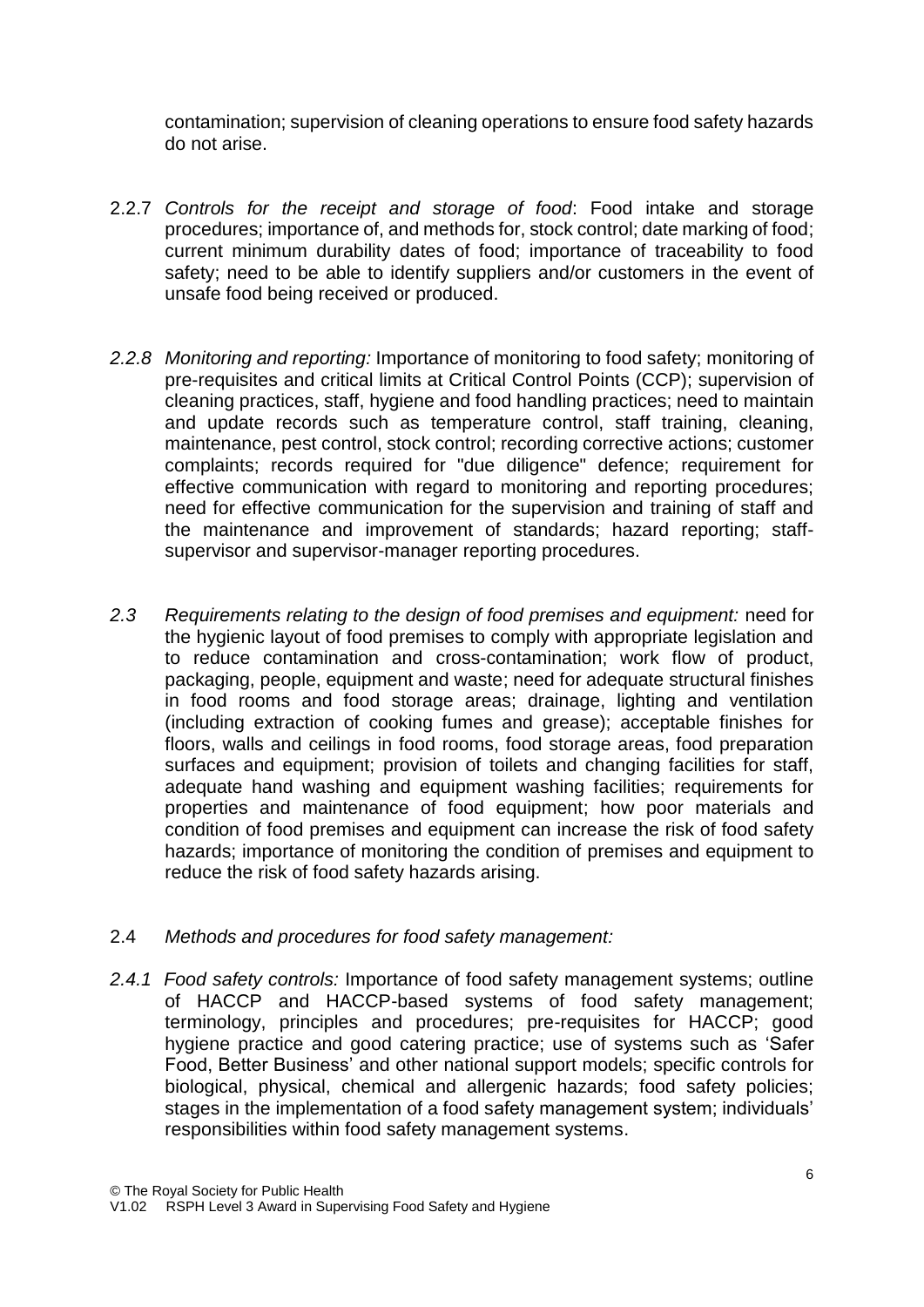contamination; supervision of cleaning operations to ensure food safety hazards do not arise.

- 2.2.7 *Controls for the receipt and storage of food*: Food intake and storage procedures; importance of, and methods for, stock control; date marking of food; current minimum durability dates of food; importance of traceability to food safety; need to be able to identify suppliers and/or customers in the event of unsafe food being received or produced.
- *2.2.8 Monitoring and reporting:* Importance of monitoring to food safety; monitoring of pre-requisites and critical limits at Critical Control Points (CCP); supervision of cleaning practices, staff, hygiene and food handling practices; need to maintain and update records such as temperature control, staff training, cleaning, maintenance, pest control, stock control; recording corrective actions; customer complaints; records required for "due diligence" defence; requirement for effective communication with regard to monitoring and reporting procedures; need for effective communication for the supervision and training of staff and the maintenance and improvement of standards; hazard reporting; staffsupervisor and supervisor-manager reporting procedures.
- *2.3 Requirements relating to the design of food premises and equipment:* need for the hygienic layout of food premises to comply with appropriate legislation and to reduce contamination and cross-contamination; work flow of product, packaging, people, equipment and waste; need for adequate structural finishes in food rooms and food storage areas; drainage, lighting and ventilation (including extraction of cooking fumes and grease); acceptable finishes for floors, walls and ceilings in food rooms, food storage areas, food preparation surfaces and equipment; provision of toilets and changing facilities for staff, adequate hand washing and equipment washing facilities; requirements for properties and maintenance of food equipment; how poor materials and condition of food premises and equipment can increase the risk of food safety hazards; importance of monitoring the condition of premises and equipment to reduce the risk of food safety hazards arising.

#### 2.4 *Methods and procedures for food safety management:*

*2.4.1 Food safety controls:* Importance of food safety management systems; outline of HACCP and HACCP-based systems of food safety management; terminology, principles and procedures; pre-requisites for HACCP; good hygiene practice and good catering practice; use of systems such as 'Safer Food, Better Business' and other national support models; specific controls for biological, physical, chemical and allergenic hazards; food safety policies; stages in the implementation of a food safety management system; individuals' responsibilities within food safety management systems.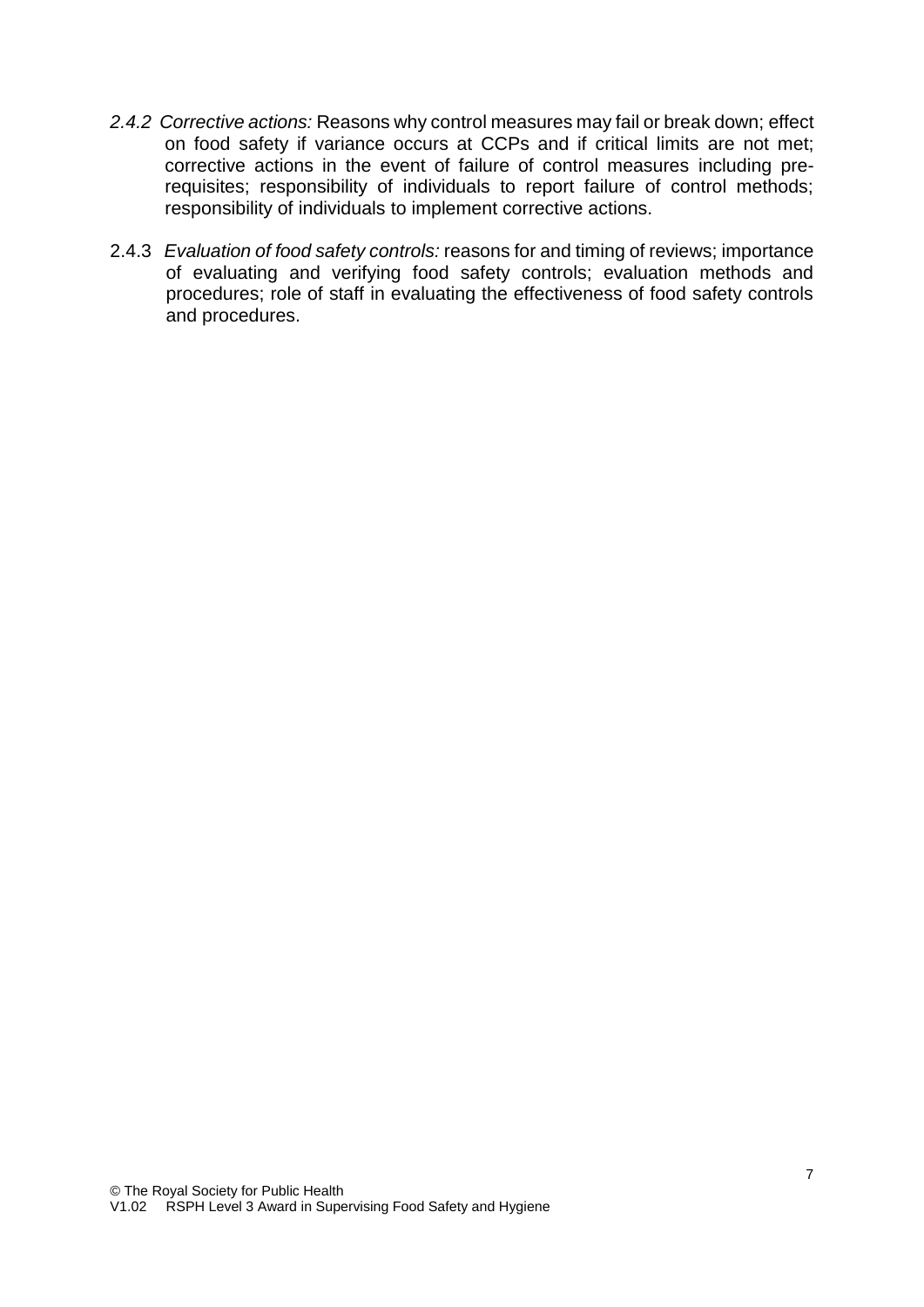- *2.4.2 Corrective actions:* Reasons why control measures may fail or break down; effect on food safety if variance occurs at CCPs and if critical limits are not met; corrective actions in the event of failure of control measures including prerequisites; responsibility of individuals to report failure of control methods; responsibility of individuals to implement corrective actions.
- 2.4.3 *Evaluation of food safety controls:* reasons for and timing of reviews; importance of evaluating and verifying food safety controls; evaluation methods and procedures; role of staff in evaluating the effectiveness of food safety controls and procedures.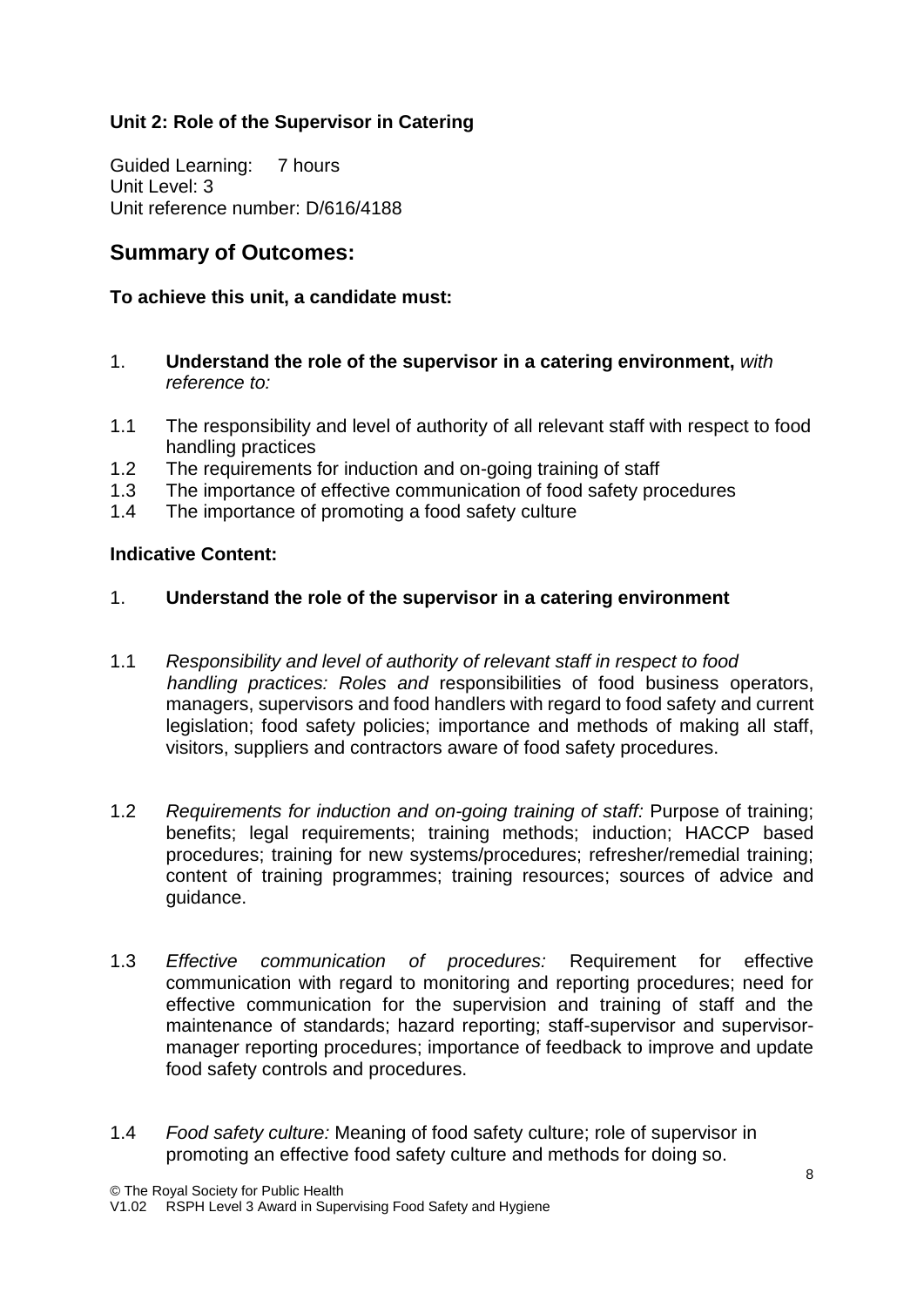### **Unit 2: Role of the Supervisor in Catering**

Guided Learning: 7 hours Unit Level: 3 Unit reference number: D/616/4188

# **Summary of Outcomes:**

### **To achieve this unit, a candidate must:**

- 1. **Understand the role of the supervisor in a catering environment,** *with reference to:*
- 1.1 The responsibility and level of authority of all relevant staff with respect to food handling practices
- 1.2 The requirements for induction and on-going training of staff
- 1.3 The importance of effective communication of food safety procedures
- 1.4 The importance of promoting a food safety culture

### **Indicative Content:**

### 1. **Understand the role of the supervisor in a catering environment**

- 1.1 *Responsibility and level of authority of relevant staff in respect to food handling practices: Roles and* responsibilities of food business operators, managers, supervisors and food handlers with regard to food safety and current legislation; food safety policies; importance and methods of making all staff, visitors, suppliers and contractors aware of food safety procedures.
- 1.2 *Requirements for induction and on-going training of staff:* Purpose of training; benefits; legal requirements; training methods; induction; HACCP based procedures; training for new systems/procedures; refresher/remedial training; content of training programmes; training resources; sources of advice and guidance.
- 1.3 *Effective communication of procedures:* Requirement for effective communication with regard to monitoring and reporting procedures; need for effective communication for the supervision and training of staff and the maintenance of standards; hazard reporting; staff-supervisor and supervisormanager reporting procedures; importance of feedback to improve and update food safety controls and procedures.
- 1.4 *Food safety culture:* Meaning of food safety culture; role of supervisor in promoting an effective food safety culture and methods for doing so.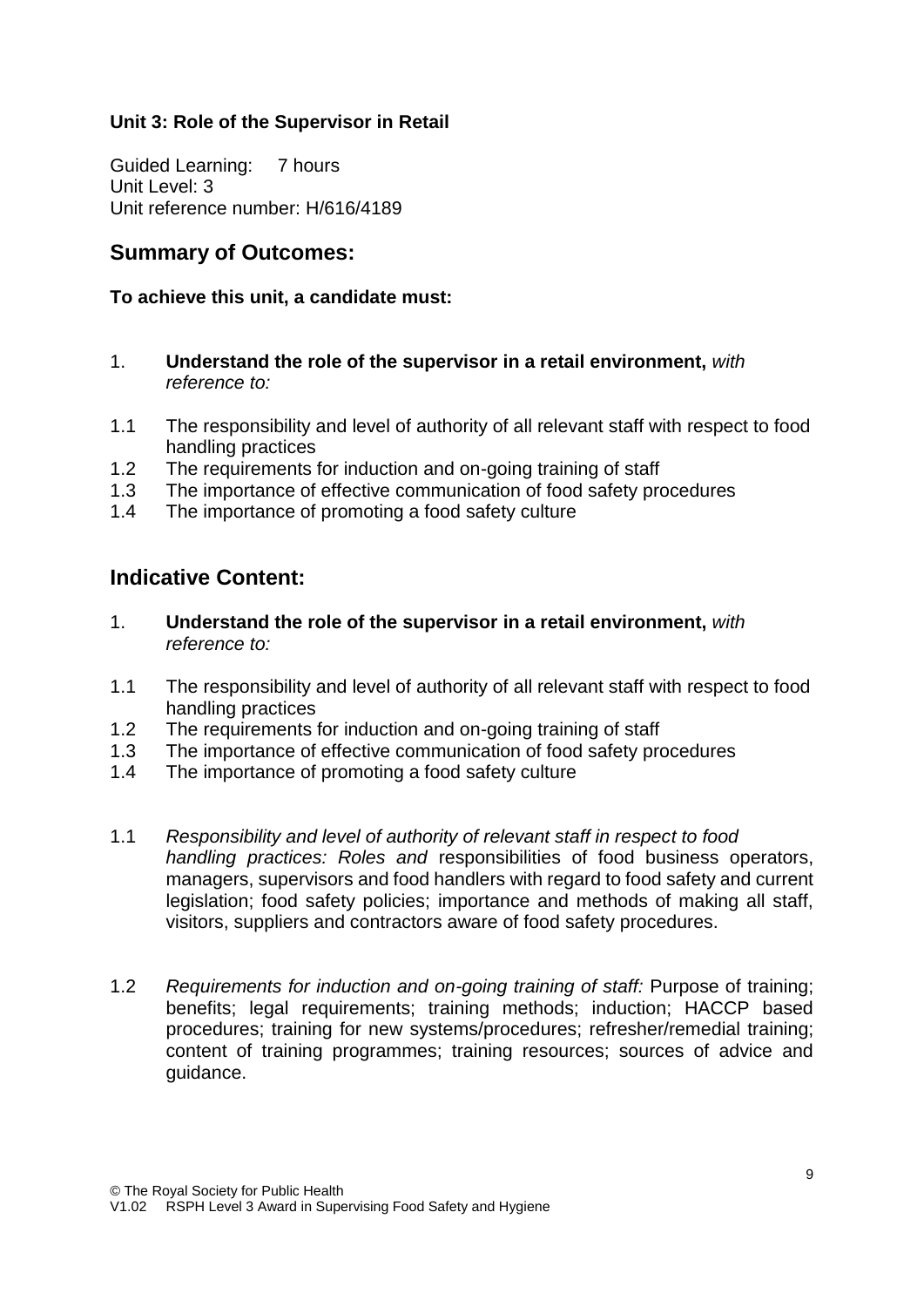### **Unit 3: Role of the Supervisor in Retail**

Guided Learning: 7 hours Unit Level: 3 Unit reference number: H/616/4189

# **Summary of Outcomes:**

#### **To achieve this unit, a candidate must:**

- 1. **Understand the role of the supervisor in a retail environment,** *with reference to:*
- 1.1 The responsibility and level of authority of all relevant staff with respect to food handling practices
- 1.2 The requirements for induction and on-going training of staff
- 1.3 The importance of effective communication of food safety procedures
- 1.4 The importance of promoting a food safety culture

# **Indicative Content:**

- 1. **Understand the role of the supervisor in a retail environment,** *with reference to:*
- 1.1 The responsibility and level of authority of all relevant staff with respect to food handling practices
- 1.2 The requirements for induction and on-going training of staff
- 1.3 The importance of effective communication of food safety procedures
- 1.4 The importance of promoting a food safety culture
- 1.1 *Responsibility and level of authority of relevant staff in respect to food handling practices: Roles and* responsibilities of food business operators, managers, supervisors and food handlers with regard to food safety and current legislation; food safety policies; importance and methods of making all staff, visitors, suppliers and contractors aware of food safety procedures.
- 1.2 *Requirements for induction and on-going training of staff:* Purpose of training; benefits; legal requirements; training methods; induction; HACCP based procedures; training for new systems/procedures; refresher/remedial training; content of training programmes; training resources; sources of advice and guidance.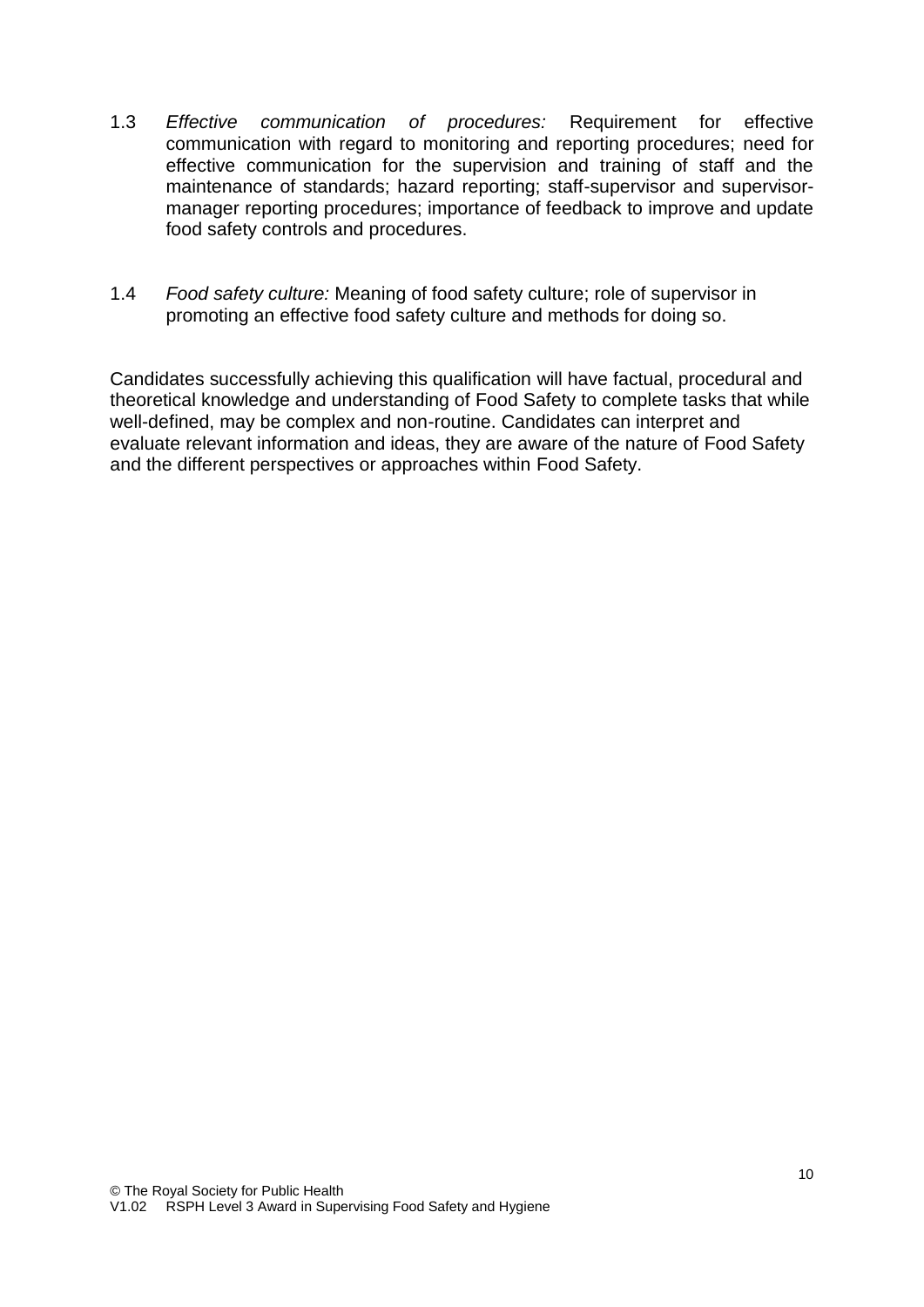- 1.3 *Effective communication of procedures:* Requirement for effective communication with regard to monitoring and reporting procedures; need for effective communication for the supervision and training of staff and the maintenance of standards; hazard reporting; staff-supervisor and supervisormanager reporting procedures; importance of feedback to improve and update food safety controls and procedures.
- 1.4 *Food safety culture:* Meaning of food safety culture; role of supervisor in promoting an effective food safety culture and methods for doing so.

Candidates successfully achieving this qualification will have factual, procedural and theoretical knowledge and understanding of Food Safety to complete tasks that while well-defined, may be complex and non-routine. Candidates can interpret and evaluate relevant information and ideas, they are aware of the nature of Food Safety and the different perspectives or approaches within Food Safety.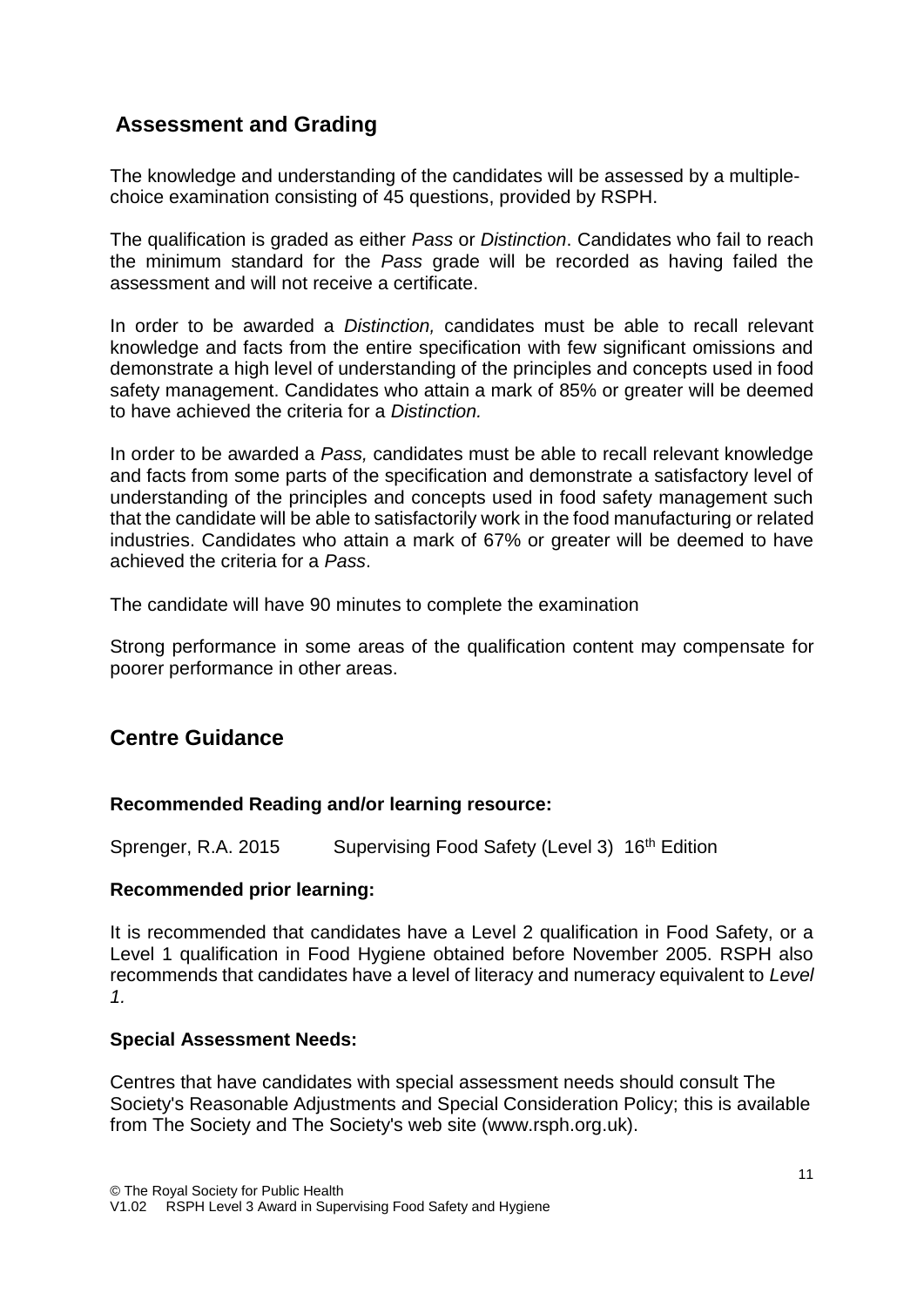# **Assessment and Grading**

The knowledge and understanding of the candidates will be assessed by a multiplechoice examination consisting of 45 questions, provided by RSPH.

The qualification is graded as either *Pass* or *Distinction*. Candidates who fail to reach the minimum standard for the *Pass* grade will be recorded as having failed the assessment and will not receive a certificate.

In order to be awarded a *Distinction,* candidates must be able to recall relevant knowledge and facts from the entire specification with few significant omissions and demonstrate a high level of understanding of the principles and concepts used in food safety management. Candidates who attain a mark of 85% or greater will be deemed to have achieved the criteria for a *Distinction.*

In order to be awarded a *Pass,* candidates must be able to recall relevant knowledge and facts from some parts of the specification and demonstrate a satisfactory level of understanding of the principles and concepts used in food safety management such that the candidate will be able to satisfactorily work in the food manufacturing or related industries. Candidates who attain a mark of 67% or greater will be deemed to have achieved the criteria for a *Pass*.

The candidate will have 90 minutes to complete the examination

Strong performance in some areas of the qualification content may compensate for poorer performance in other areas.

# **Centre Guidance**

#### **Recommended Reading and/or learning resource:**

Sprenger, R.A. 2015 Supervising Food Safety (Level 3) 16<sup>th</sup> Edition

#### **Recommended prior learning:**

It is recommended that candidates have a Level 2 qualification in Food Safety, or a Level 1 qualification in Food Hygiene obtained before November 2005. RSPH also recommends that candidates have a level of literacy and numeracy equivalent to *Level 1.*

#### **Special Assessment Needs:**

Centres that have candidates with special assessment needs should consult The Society's Reasonable Adjustments and Special Consideration Policy; this is available from The Society and The Society's web site (www.rsph.org.uk).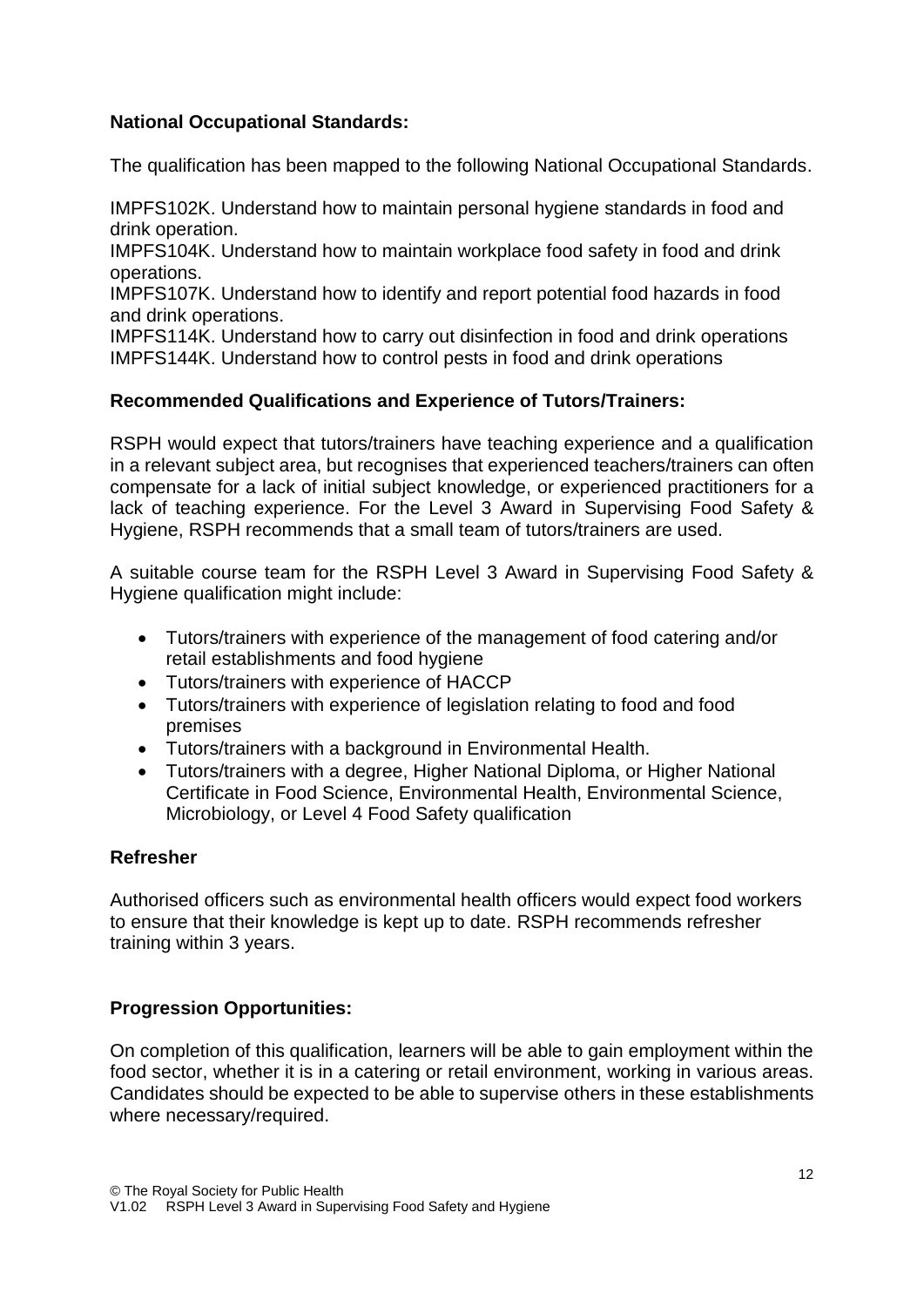### **National Occupational Standards:**

The qualification has been mapped to the following National Occupational Standards.

IMPFS102K. Understand how to maintain personal hygiene standards in food and drink operation.

IMPFS104K. Understand how to maintain workplace food safety in food and drink operations.

IMPFS107K. Understand how to identify and report potential food hazards in food and drink operations.

IMPFS114K. Understand how to carry out disinfection in food and drink operations IMPFS144K. Understand how to control pests in food and drink operations

### **Recommended Qualifications and Experience of Tutors/Trainers:**

RSPH would expect that tutors/trainers have teaching experience and a qualification in a relevant subject area, but recognises that experienced teachers/trainers can often compensate for a lack of initial subject knowledge, or experienced practitioners for a lack of teaching experience. For the Level 3 Award in Supervising Food Safety & Hygiene, RSPH recommends that a small team of tutors/trainers are used.

A suitable course team for the RSPH Level 3 Award in Supervising Food Safety & Hygiene qualification might include:

- Tutors/trainers with experience of the management of food catering and/or retail establishments and food hygiene
- Tutors/trainers with experience of HACCP
- Tutors/trainers with experience of legislation relating to food and food premises
- Tutors/trainers with a background in Environmental Health.
- Tutors/trainers with a degree, Higher National Diploma, or Higher National Certificate in Food Science, Environmental Health, Environmental Science, Microbiology, or Level 4 Food Safety qualification

### **Refresher**

Authorised officers such as environmental health officers would expect food workers to ensure that their knowledge is kept up to date. RSPH recommends refresher training within 3 years.

### **Progression Opportunities:**

On completion of this qualification, learners will be able to gain employment within the food sector, whether it is in a catering or retail environment, working in various areas. Candidates should be expected to be able to supervise others in these establishments where necessary/required.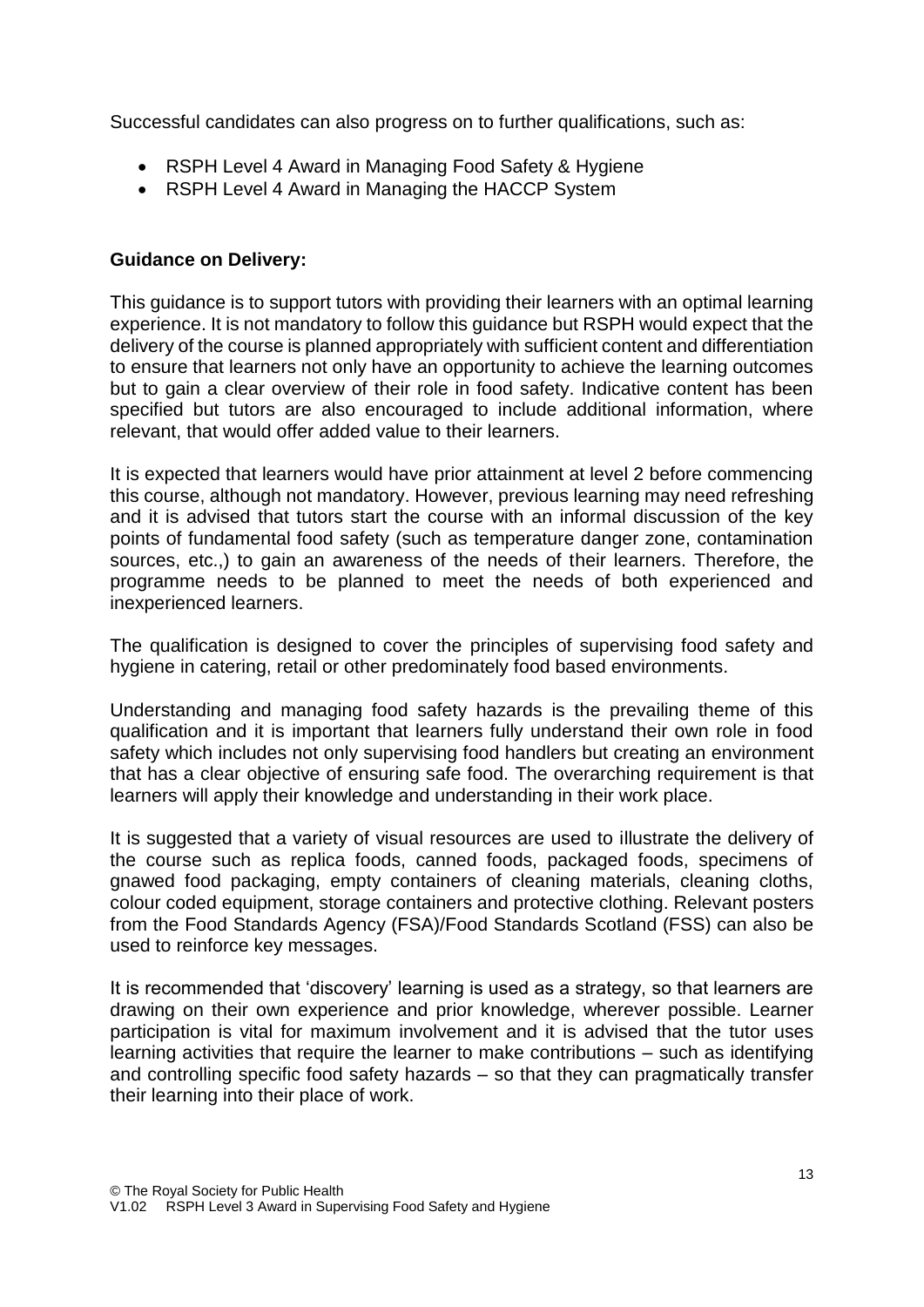Successful candidates can also progress on to further qualifications, such as:

- RSPH Level 4 Award in Managing Food Safety & Hygiene
- RSPH Level 4 Award in Managing the HACCP System

#### **Guidance on Delivery:**

This guidance is to support tutors with providing their learners with an optimal learning experience. It is not mandatory to follow this guidance but RSPH would expect that the delivery of the course is planned appropriately with sufficient content and differentiation to ensure that learners not only have an opportunity to achieve the learning outcomes but to gain a clear overview of their role in food safety. Indicative content has been specified but tutors are also encouraged to include additional information, where relevant, that would offer added value to their learners.

It is expected that learners would have prior attainment at level 2 before commencing this course, although not mandatory. However, previous learning may need refreshing and it is advised that tutors start the course with an informal discussion of the key points of fundamental food safety (such as temperature danger zone, contamination sources, etc.,) to gain an awareness of the needs of their learners. Therefore, the programme needs to be planned to meet the needs of both experienced and inexperienced learners.

The qualification is designed to cover the principles of supervising food safety and hygiene in catering, retail or other predominately food based environments.

Understanding and managing food safety hazards is the prevailing theme of this qualification and it is important that learners fully understand their own role in food safety which includes not only supervising food handlers but creating an environment that has a clear objective of ensuring safe food. The overarching requirement is that learners will apply their knowledge and understanding in their work place.

It is suggested that a variety of visual resources are used to illustrate the delivery of the course such as replica foods, canned foods, packaged foods, specimens of gnawed food packaging, empty containers of cleaning materials, cleaning cloths, colour coded equipment, storage containers and protective clothing. Relevant posters from the Food Standards Agency (FSA)/Food Standards Scotland (FSS) can also be used to reinforce key messages.

It is recommended that 'discovery' learning is used as a strategy, so that learners are drawing on their own experience and prior knowledge, wherever possible. Learner participation is vital for maximum involvement and it is advised that the tutor uses learning activities that require the learner to make contributions – such as identifying and controlling specific food safety hazards – so that they can pragmatically transfer their learning into their place of work.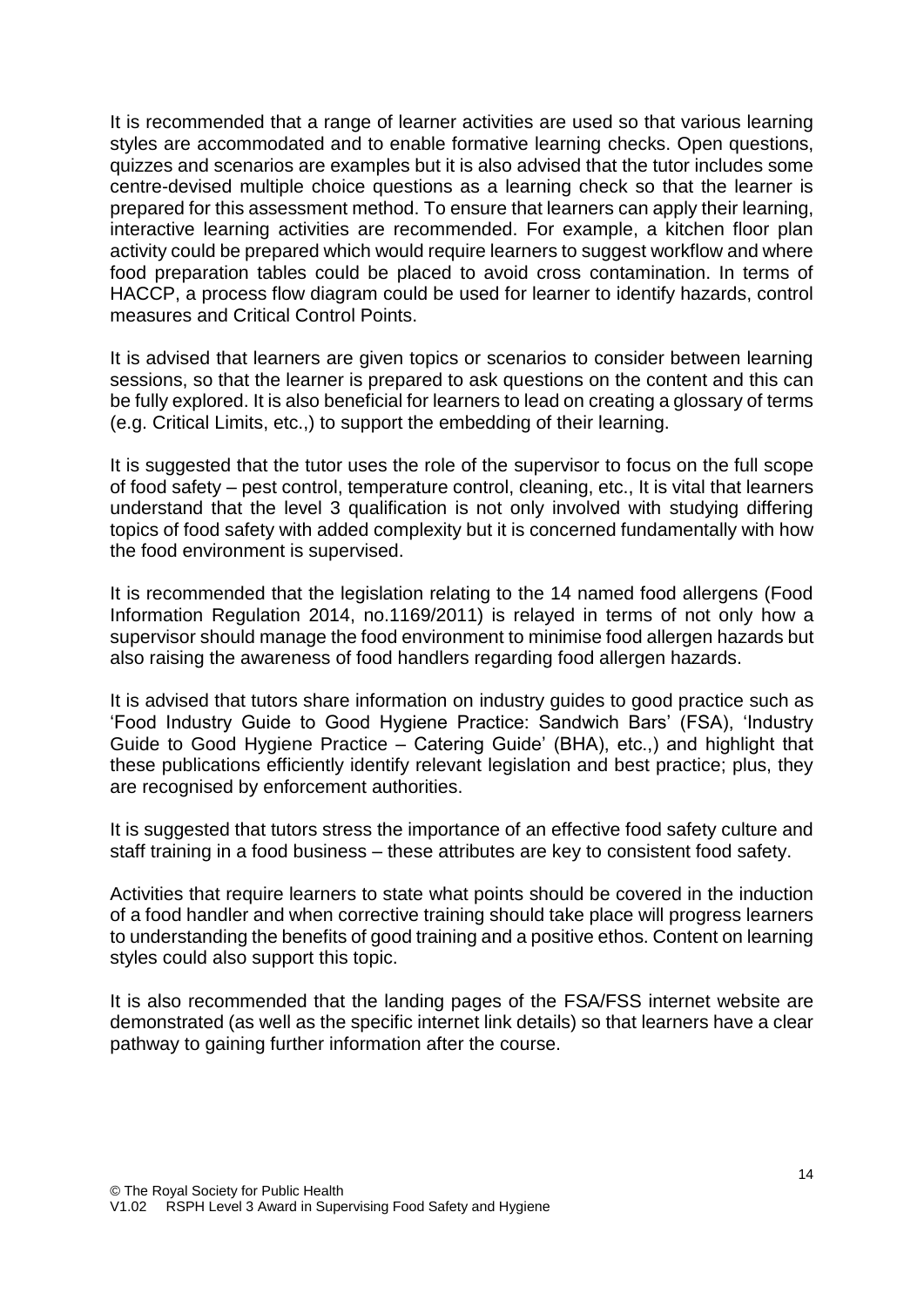It is recommended that a range of learner activities are used so that various learning styles are accommodated and to enable formative learning checks. Open questions, quizzes and scenarios are examples but it is also advised that the tutor includes some centre-devised multiple choice questions as a learning check so that the learner is prepared for this assessment method. To ensure that learners can apply their learning, interactive learning activities are recommended. For example, a kitchen floor plan activity could be prepared which would require learners to suggest workflow and where food preparation tables could be placed to avoid cross contamination. In terms of HACCP, a process flow diagram could be used for learner to identify hazards, control measures and Critical Control Points.

It is advised that learners are given topics or scenarios to consider between learning sessions, so that the learner is prepared to ask questions on the content and this can be fully explored. It is also beneficial for learners to lead on creating a glossary of terms (e.g. Critical Limits, etc.,) to support the embedding of their learning.

It is suggested that the tutor uses the role of the supervisor to focus on the full scope of food safety – pest control, temperature control, cleaning, etc., It is vital that learners understand that the level 3 qualification is not only involved with studying differing topics of food safety with added complexity but it is concerned fundamentally with how the food environment is supervised.

It is recommended that the legislation relating to the 14 named food allergens (Food Information Regulation 2014, no.1169/2011) is relayed in terms of not only how a supervisor should manage the food environment to minimise food allergen hazards but also raising the awareness of food handlers regarding food allergen hazards.

It is advised that tutors share information on industry guides to good practice such as 'Food Industry Guide to Good Hygiene Practice: Sandwich Bars' (FSA), 'Industry Guide to Good Hygiene Practice – Catering Guide' (BHA), etc.,) and highlight that these publications efficiently identify relevant legislation and best practice; plus, they are recognised by enforcement authorities.

It is suggested that tutors stress the importance of an effective food safety culture and staff training in a food business – these attributes are key to consistent food safety.

Activities that require learners to state what points should be covered in the induction of a food handler and when corrective training should take place will progress learners to understanding the benefits of good training and a positive ethos. Content on learning styles could also support this topic.

It is also recommended that the landing pages of the FSA/FSS internet website are demonstrated (as well as the specific internet link details) so that learners have a clear pathway to gaining further information after the course.